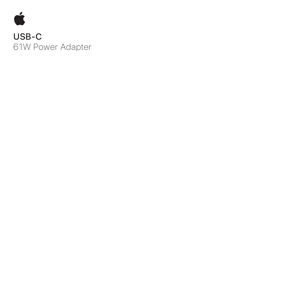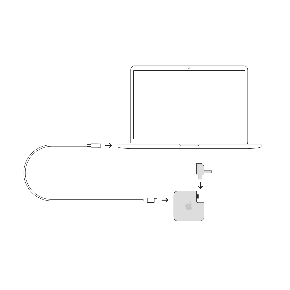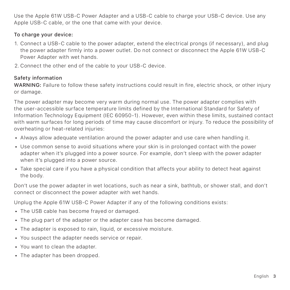Use the Apple 61W USB-C Power Adapter and a USB-C cable to charge your USB-C device. Use any Apple USB-C cable, or the one that came with your device.

## To charge your device:

- 1. Connect a USB-C cable to the power adapter, extend the electrical prongs (if necessary), and plug the power adapter firmly into a power outlet. Do not connect or disconnect the Apple 61W USB-C Power Adapter with wet hands.
- 2. Connect the other end of the cable to your USB-C device.

## Safety information

WARNING: Failure to follow these safety instructions could result in fire, electric shock, or other injury or damage.

The power adapter may become very warm during normal use. The power adapter complies with the user-accessible surface temperature limits defined by the International Standard for Safety of Information Technology Equipment (IEC 60950-1). However, even within these limits, sustained contact with warm surfaces for long periods of time may cause discomfort or injury. To reduce the possibility of overheating or heat-related injuries:

- Always allow adequate ventilation around the power adapter and use care when handling it.
- Use common sense to avoid situations where your skin is in prolonged contact with the power adapter when it's plugged into a power source. For example, don't sleep with the power adapter when it's plugged into a power source.
- Take special care if you have a physical condition that affects your ability to detect heat against the body.

Don't use the power adapter in wet locations, such as near a sink, bathtub, or shower stall, and don't connect or disconnect the power adapter with wet hands.

Unplug the Apple 61W USB-C Power Adapter if any of the following conditions exists:

- The USB cable has become frayed or damaged.
- The plug part of the adapter or the adapter case has become damaged.
- The adapter is exposed to rain, liquid, or excessive moisture.
- You suspect the adapter needs service or repair.
- You want to clean the adapter.
- The adapter has been dropped.